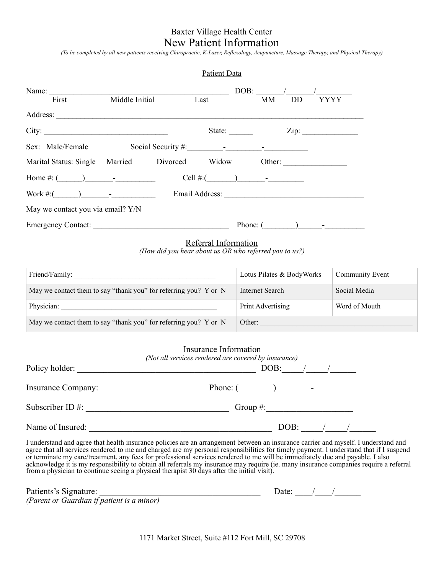# Baxter Village Health Center New Patient Information

*(To be completed by all new patients receiving Chiropractic, K-Laser, Reflexology, Acupuncture, Massage Therapy, and Physical Therapy)*

|                                   |                  | <b>Patient Data</b> |                               |    |           |                                          |
|-----------------------------------|------------------|---------------------|-------------------------------|----|-----------|------------------------------------------|
| Name: $\qquad \qquad$<br>First    | Middle Initial   | Last                |                               | MM | <b>DD</b> | DOB: $\frac{\sqrt{2}}{2}$<br><b>YYYY</b> |
| Address:                          |                  |                     |                               |    |           |                                          |
| City:                             |                  |                     | State: $\qquad \qquad \qquad$ |    |           | Zip:                                     |
|                                   |                  |                     |                               |    |           |                                          |
| Marital Status: Single            | Married Divorced | Widow               |                               |    |           | Other:                                   |
|                                   |                  |                     |                               |    |           |                                          |
| Work #: $($ ) -                   |                  |                     |                               |    |           |                                          |
| May we contact you via email? Y/N |                  |                     |                               |    |           |                                          |
| Emergency Contact:                |                  |                     |                               |    |           | Phone: $($ $)$ $-$                       |

### Referral Information

*(How did you hear about us OR who referred you to us?)* 

| Friend/Family:                                                   | Lotus Pilates & BodyWorks | <b>Community Event</b> |
|------------------------------------------------------------------|---------------------------|------------------------|
| May we contact them to say "thank you" for referring you? Y or N | Internet Search           | Social Media           |
| Physician:                                                       | Print Advertising         | Word of Mouth          |
| May we contact them to say "thank you" for referring you? Y or N | Other:                    |                        |

|                     | <b>Insurance Information</b><br>(Not all services rendered are covered by insurance) |
|---------------------|--------------------------------------------------------------------------------------|
| Policy holder:      | DOB:                                                                                 |
| Insurance Company:  | Phone: $\qquad \qquad$                                                               |
| Subscriber ID $#$ : | Group #: $\qquad \qquad$                                                             |
| Name of Insured:    | $DOB:$ / /                                                                           |
|                     |                                                                                      |

I understand and agree that health insurance policies are an arrangement between an insurance carrier and myself. I understand and agree that all services rendered to me and charged are my personal responsibilities for timely payment. I understand that if I suspend or terminate my care/treatment, any fees for professional services rendered to me will be immediately due and payable. I also acknowledge it is my responsibility to obtain all referrals my insurance may require (ie. many insurance companies require a referral from a physician to continue seeing a physical therapist 30 days after the initial visit).

Patients's Signature: \_\_\_\_\_\_\_\_\_\_\_\_\_\_\_\_\_\_\_\_\_\_\_\_\_\_\_\_\_\_\_\_\_\_\_\_\_ Date: \_\_\_\_/\_\_\_\_/\_\_\_\_\_\_ *(Parent or Guardian if patient is a minor)* 

1171 Market Street, Suite #112 Fort Mill, SC 29708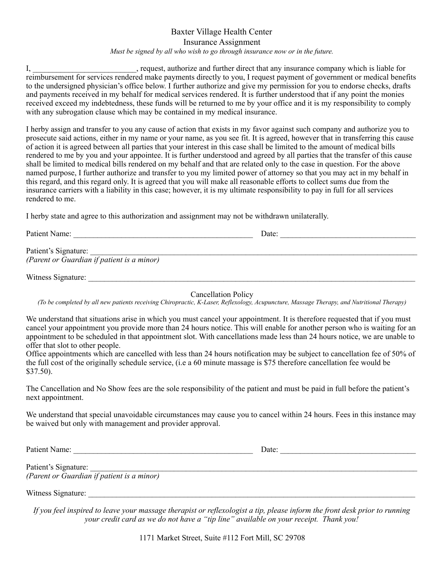### Baxter Village Health Center Insurance Assignment *Must be signed by all who wish to go through insurance now or in the future.*

I, equest, authorize and further direct that any insurance company which is liable for reimbursement for services rendered make payments directly to you, I request payment of government or medical benefits to the undersigned physician's office below. I further authorize and give my permission for you to endorse checks, drafts and payments received in my behalf for medical services rendered. It is further understood that if any point the monies received exceed my indebtedness, these funds will be returned to me by your office and it is my responsibility to comply with any subrogation clause which may be contained in my medical insurance.

I herby assign and transfer to you any cause of action that exists in my favor against such company and authorize you to prosecute said actions, either in my name or your name, as you see fit. It is agreed, however that in transferring this cause of action it is agreed between all parties that your interest in this case shall be limited to the amount of medical bills rendered to me by you and your appointee. It is further understood and agreed by all parties that the transfer of this cause shall be limited to medical bills rendered on my behalf and that are related only to the case in question. For the above named purpose, I further authorize and transfer to you my limited power of attorney so that you may act in my behalf in this regard, and this regard only. It is agreed that you will make all reasonable efforts to collect sums due from the insurance carriers with a liability in this case; however, it is my ultimate responsibility to pay in full for all services rendered to me.

I herby state and agree to this authorization and assignment may not be withdrawn unilaterally.

Patient Name: \_\_\_\_\_\_\_\_\_\_\_\_\_\_\_\_\_\_\_\_\_\_\_\_\_\_\_\_\_\_\_\_\_\_\_\_\_\_\_\_\_\_\_\_\_ Date: \_\_\_\_\_\_\_\_\_\_\_\_\_\_\_\_\_\_\_\_\_\_\_\_\_\_\_\_\_\_\_\_\_\_

Patient's Signature: *(Parent or Guardian if patient is a minor)*

Witness Signature: \_\_\_\_\_\_\_\_\_\_\_\_\_\_\_\_\_\_\_\_\_\_\_\_\_\_\_\_\_\_\_\_\_\_\_\_\_\_\_\_\_\_\_\_\_\_\_\_\_\_\_\_\_\_\_\_\_\_\_\_\_\_\_\_\_\_\_\_\_\_\_\_\_\_\_\_\_\_\_\_\_\_

Cancellation Policy

*(To be completed by all new patients receiving Chiropractic, K-Laser, Reflexology, Acupuncture, Massage Therapy, and Nutritional Therapy)*

We understand that situations arise in which you must cancel your appointment. It is therefore requested that if you must cancel your appointment you provide more than 24 hours notice. This will enable for another person who is waiting for an appointment to be scheduled in that appointment slot. With cancellations made less than 24 hours notice, we are unable to offer that slot to other people.

Office appointments which are cancelled with less than 24 hours notification may be subject to cancellation fee of 50% of the full cost of the originally schedule service, (i.e a 60 minute massage is \$75 therefore cancellation fee would be \$37.50).

The Cancellation and No Show fees are the sole responsibility of the patient and must be paid in full before the patient's next appointment.

We understand that special unavoidable circumstances may cause you to cancel within 24 hours. Fees in this instance may be waived but only with management and provider approval.

Patient Name: \_\_\_\_\_\_\_\_\_\_\_\_\_\_\_\_\_\_\_\_\_\_\_\_\_\_\_\_\_\_\_\_\_\_\_\_\_\_\_\_\_\_\_\_\_ Date: \_\_\_\_\_\_\_\_\_\_\_\_\_\_\_\_\_\_\_\_\_\_\_\_\_\_\_\_\_\_\_\_\_\_

Patient's Signature: *(Parent or Guardian if patient is a minor)*

Witness Signature:

*If you feel inspired to leave your massage therapist or reflexologist a tip, please inform the front desk prior to running your credit card as we do not have a "tip line" available on your receipt. Thank you!*

1171 Market Street, Suite #112 Fort Mill, SC 29708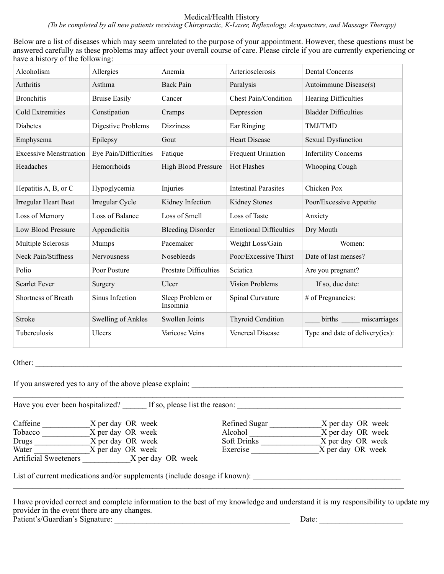#### Medical/Health History

*(To be completed by all new patients receiving Chiropractic, K-Laser, Reflexology, Acupuncture, and Massage Therapy)* 

Below are a list of diseases which may seem unrelated to the purpose of your appointment. However, these questions must be answered carefully as these problems may affect your overall course of care. Please circle if you are currently experiencing or have a history of the following:

| Alcoholism                    | Allergies             | Anemia                       | Arteriosclerosis              | <b>Dental Concerns</b>          |
|-------------------------------|-----------------------|------------------------------|-------------------------------|---------------------------------|
| Arthritis                     | Asthma                | <b>Back Pain</b>             | Paralysis                     | Autoimmune Disease(s)           |
| <b>Bronchitis</b>             | <b>Bruise Easily</b>  | Cancer                       | <b>Chest Pain/Condition</b>   | Hearing Difficulties            |
| <b>Cold Extremities</b>       | Constipation          | Cramps                       | Depression                    | <b>Bladder Difficulties</b>     |
| Diabetes                      | Digestive Problems    | <b>Dizziness</b>             | Ear Ringing                   | TMJ/TMD                         |
| Emphysema                     | Epilepsy              | Gout                         | <b>Heart Disease</b>          | <b>Sexual Dysfunction</b>       |
| <b>Excessive Menstruation</b> | Eye Pain/Difficulties | Fatique                      | Frequent Urination            | <b>Infertility Concerns</b>     |
| Headaches                     | Hemorrhoids           | <b>High Blood Pressure</b>   | <b>Hot Flashes</b>            | <b>Whooping Cough</b>           |
| Hepatitis A, B, or C          | Hypoglycemia          | Injuries                     | <b>Intestinal Parasites</b>   | Chicken Pox                     |
| Irregular Heart Beat          | Irregular Cycle       | Kidney Infection             | Kidney Stones                 | Poor/Excessive Appetite         |
| Loss of Memory                | Loss of Balance       | Loss of Smell                | Loss of Taste                 | Anxiety                         |
| Low Blood Pressure            | Appendicitis          | <b>Bleeding Disorder</b>     | <b>Emotional Difficulties</b> | Dry Mouth                       |
| Multiple Sclerosis            | Mumps                 | Pacemaker                    | Weight Loss/Gain              | Women:                          |
| Neck Pain/Stiffness           | Nervousness           | Nosebleeds                   | Poor/Excessive Thirst         | Date of last menses?            |
| Polio                         | Poor Posture          | <b>Prostate Difficulties</b> | Sciatica                      | Are you pregnant?               |
| <b>Scarlet Fever</b>          | Surgery               | Ulcer                        | <b>Vision Problems</b>        | If so, due date:                |
| Shortness of Breath           | Sinus Infection       | Sleep Problem or<br>Insomnia | Spinal Curvature              | # of Pregnancies:               |
| Stroke                        | Swelling of Ankles    | Swollen Joints               | <b>Thyroid Condition</b>      | births miscarriages             |
| Tuberculosis                  | Ulcers                | Varicose Veins               | Venereal Disease              | Type and date of delivery(ies): |

## Other: \_\_\_\_\_\_\_\_\_\_\_\_\_\_\_\_\_\_\_\_\_\_\_\_\_\_\_\_\_\_\_\_\_\_\_\_\_\_\_\_\_\_\_\_\_\_\_\_\_\_\_\_\_\_\_\_\_\_\_\_\_\_\_\_\_\_\_\_\_\_\_\_\_\_\_\_\_\_\_\_\_\_\_\_\_\_\_\_\_\_\_\_

If you answered yes to any of the above please explain: \_\_\_\_\_\_\_\_\_\_\_\_\_\_\_\_\_\_\_\_\_\_\_\_\_\_\_\_\_\_\_\_\_\_\_\_\_\_\_\_\_\_\_\_\_\_\_\_\_\_\_\_\_

Have you ever been hospitalized? If so, please list the reason:

| Caffeine                     | X per day OR week | Refined Sugar      | X per day OR week |
|------------------------------|-------------------|--------------------|-------------------|
| Tobacco                      | X per day OR week | Alcohol            | X per day OR week |
| Drugs                        | X per day OR week | <b>Soft Drinks</b> | X per day OR week |
| Water                        | X per day OR week | Exercise           | X per day OR week |
| <b>Artificial Sweeteners</b> | X per day OR week |                    |                   |

List of current medications and/or supplements (include dosage if known): \_\_\_\_\_\_\_\_\_\_\_\_\_\_\_\_\_\_\_\_\_\_\_\_\_\_\_\_\_\_\_\_\_\_\_\_\_

I have provided correct and complete information to the best of my knowledge and understand it is my responsibility to update my provider in the event there are any changes. Patient's/Guardian's Signature: \_\_\_\_\_\_\_\_\_\_\_\_\_\_\_\_\_\_\_\_\_\_\_\_\_\_\_\_\_\_\_\_\_\_\_\_\_\_\_\_\_\_\_\_ Date: \_\_\_\_\_\_\_\_\_\_\_\_\_\_\_\_\_\_\_\_\_

 $\mathcal{L}_\mathcal{L} = \mathcal{L}_\mathcal{L} = \mathcal{L}_\mathcal{L} = \mathcal{L}_\mathcal{L} = \mathcal{L}_\mathcal{L} = \mathcal{L}_\mathcal{L} = \mathcal{L}_\mathcal{L} = \mathcal{L}_\mathcal{L} = \mathcal{L}_\mathcal{L} = \mathcal{L}_\mathcal{L} = \mathcal{L}_\mathcal{L} = \mathcal{L}_\mathcal{L} = \mathcal{L}_\mathcal{L} = \mathcal{L}_\mathcal{L} = \mathcal{L}_\mathcal{L} = \mathcal{L}_\mathcal{L} = \mathcal{L}_\mathcal{L}$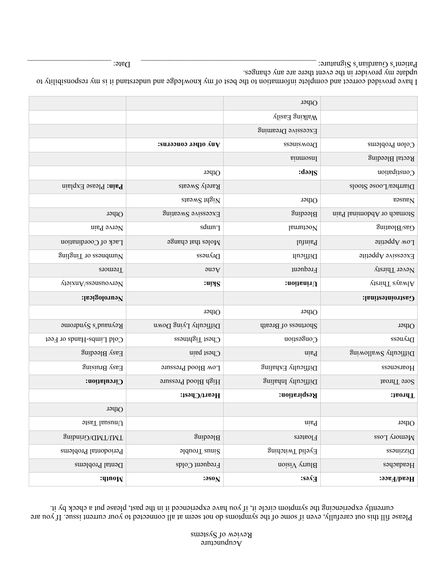### $\mathcal{A}$ cupuncture Review of Systems

Please fill this out carefully, even if some of the symptoms do not seem at all connected to your current issue. If you are currently experiencing the symptom circle it, if you have experienced it in the past, please put a check by it.

|                             |                                | Other                     |                                  |
|-----------------------------|--------------------------------|---------------------------|----------------------------------|
|                             |                                | <b>Valking Easily</b>     |                                  |
|                             |                                | Excessive Dreaming        |                                  |
|                             | $\mathbf{u}$ a other concerns: | Drowsiness                | Colon Problems                   |
|                             |                                | sinmosnl                  | Rectal Bleeding                  |
|                             | Other                          | $:$ dəə $IS$              | Constipation                     |
| <b>Pain:</b> Please Explain | Rarely Sweats                  |                           | Diarrhea/Loose Stools            |
|                             | $\mu$ gheya atasar             | Other                     | $\mathfrak{v}$ as $\mathfrak{m}$ |
| Other                       | Excessive Sweating             | Bleeding                  | stomach or Abdominal Pain        |
| Nerve Pain                  | sdun <sub>T</sub>              | Nocturnal                 | Gas/Bloating                     |
| Lack of Coordination        | $M$ oles that change           | Inthia                    | Low Appetite                     |
| gnilgniT to eeondmuV        | Dryness                        | Difficult                 | Excessive Appetite               |
| Tremors                     | $\gamma$ cne                   | Frequent                  | Never Thirsty                    |
| VisixnA\essneuovisV         | :upS                           | $:$ noithni $\cup$        | <b>VienidT</b> evewIA            |
| Neurological:               |                                |                           | Gastrointestinal:                |
|                             |                                |                           |                                  |
|                             | Other                          | Other                     |                                  |
| Reynaud's Syndrome          | Difficulty Lying Down          | Shortness of Breath       | Other                            |
| Cold Limbs-Hands or Feet    | $C$ hest Tightness             | Congestion                | Dryness                          |
| Easy Bleeding               | Chest pain                     | niaq                      | Bifficulty Swallowing            |
| <b>Baisional vead</b>       | Low Blood Pressure             | Difficulty Exhaling       | Hoarseness                       |
| Circulation:                | High Blood Pressure            | $Diff$ iffroulty Inhaling | Sore Throat                      |
|                             | Heart/Chest:                   | Respiration:              | :1волиТ                          |
| Other                       |                                |                           |                                  |
| $O(n \log n)$ Taste         |                                | ninq                      | Other                            |
| gnibninO\/Chinding          | Bleeding                       | Floaters                  | Memory Loss                      |
| Periodontal Problems        | Sinus Trouble                  | <b>Eyelid Twitching</b>   | <b>Dizziness</b>                 |
| Dental Problems             | Frequent Colds                 | noisi $V$ yrul H          | Headaches                        |

I have provided correct and complete information to the best of my knowledge and understand it is my responsibility to update my provider in the event there are any changes. Patient's Guardian's Signature: \_\_\_\_\_\_\_\_\_\_\_\_\_\_\_\_\_\_\_\_\_\_\_\_\_\_\_\_\_\_\_\_\_\_\_\_\_\_\_\_\_\_\_\_ Date: \_\_\_\_\_\_\_\_\_\_\_\_\_\_\_\_\_\_\_\_\_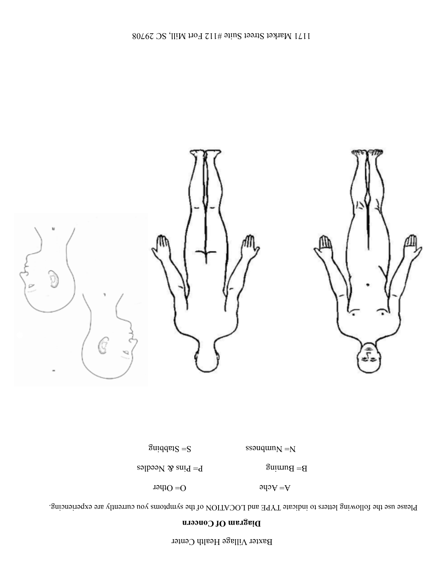## Baxter Village Health Center

## **Diagram Of Concern**

Please use the following letters to indicate TYPE and LOCATION of the symptoms you currently are experiencing.

 $A = A \circ A$  O= Other



B= Burning  $B = \text{B}$   $B = \text{B}$   $B = \text{B}$   $B = \text{B}$   $B = \text{B}$ 

 $\text{S}\text{uq}$ que $\text{S}$  =  $\text{S}$   $\text{S}\text{S}\text{uq}$   $\text{uq}$   $\text{vq}$   $\text{S}\text{uq}$